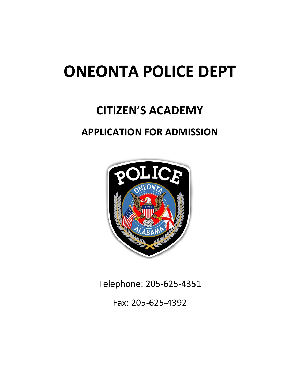# **ONEONTA POLICE DEPT**

# **CITIZEN'S ACADEMY**

### **APPLICATION FOR ADMISSION**



Telephone: 205-625-4351

Fax: 205-625-4392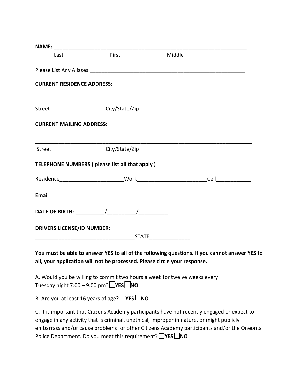| <b>NAME:</b>                      |                                                                           |                                                                                                                                                                                           |
|-----------------------------------|---------------------------------------------------------------------------|-------------------------------------------------------------------------------------------------------------------------------------------------------------------------------------------|
| Last                              | First                                                                     | Middle                                                                                                                                                                                    |
|                                   |                                                                           |                                                                                                                                                                                           |
| <b>CURRENT RESIDENCE ADDRESS:</b> |                                                                           |                                                                                                                                                                                           |
| Street                            | City/State/Zip                                                            |                                                                                                                                                                                           |
| <b>CURRENT MAILING ADDRESS:</b>   |                                                                           |                                                                                                                                                                                           |
| Street                            | City/State/Zip                                                            |                                                                                                                                                                                           |
|                                   | TELEPHONE NUMBERS (please list all that apply)                            |                                                                                                                                                                                           |
|                                   |                                                                           |                                                                                                                                                                                           |
|                                   |                                                                           |                                                                                                                                                                                           |
|                                   |                                                                           |                                                                                                                                                                                           |
| <b>DRIVERS LICENSE/ID NUMBER:</b> |                                                                           |                                                                                                                                                                                           |
|                                   |                                                                           | You must be able to answer YES to all of the following questions. If you cannot answer YES to                                                                                             |
|                                   | all, your application will not be processed. Please circle your response. |                                                                                                                                                                                           |
|                                   | Tuesday night 7:00 - 9:00 pm? $YES$ NO                                    | A. Would you be willing to commit two hours a week for twelve weeks every                                                                                                                 |
|                                   | B. Are you at least 16 years of age? $\Box$ YES $\Box$ NO                 |                                                                                                                                                                                           |
|                                   |                                                                           | C. It is important that Citizens Academy participants have not recently engaged or expect to<br>engage in any activity that is criminal, unethical, improper in nature, or might publicly |

embarrass and/or cause problems for other Citizens Academy participants and/or the Oneonta Police Department. Do you meet this requirement? **YES** NO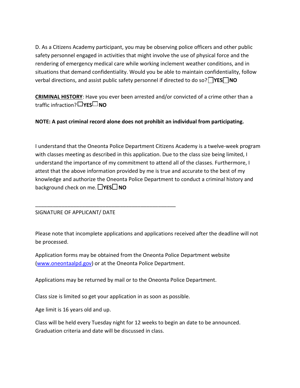D. As a Citizens Academy participant, you may be observing police officers and other public safety personnel engaged in activities that might involve the use of physical force and the rendering of emergency medical care while working inclement weather conditions, and in situations that demand confidentiality. Would you be able to maintain confidentiality, follow verbal directions, and assist public safety personnel if directed to do so? **YES** NO

**CRIMINAL HISTORY**: Have you ever been arrested and/or convicted of a crime other than a traffic infraction? **YES NO**

**NOTE: A past criminal record alone does not prohibit an individual from participating.**

I understand that the Oneonta Police Department Citizens Academy is a twelve-week program with classes meeting as described in this application. Due to the class size being limited, I understand the importance of my commitment to attend all of the classes. Furthermore, I attest that the above information provided by me is true and accurate to the best of my knowledge and authorize the Oneonta Police Department to conduct a criminal history and **background check on me.** □YES□ NO

#### SIGNATURE OF APPLICANT/ DATE

Please note that incomplete applications and applications received after the deadline will not be processed.

Application forms may be obtained from the Oneonta Police Department website (www.oneontaalpd.gov) or at the Oneonta Police Department.

Applications may be returned by mail or to the Oneonta Police Department.

Class size is limited so get your application in as soon as possible.

\_\_\_\_\_\_\_\_\_\_\_\_\_\_\_\_\_\_\_\_\_\_\_\_\_\_\_\_\_\_\_\_\_\_\_\_\_\_\_\_\_\_\_\_\_\_\_\_

Age limit is 16 years old and up.

Class will be held every Tuesday night for 12 weeks to begin an date to be announced. Graduation criteria and date will be discussed in class.